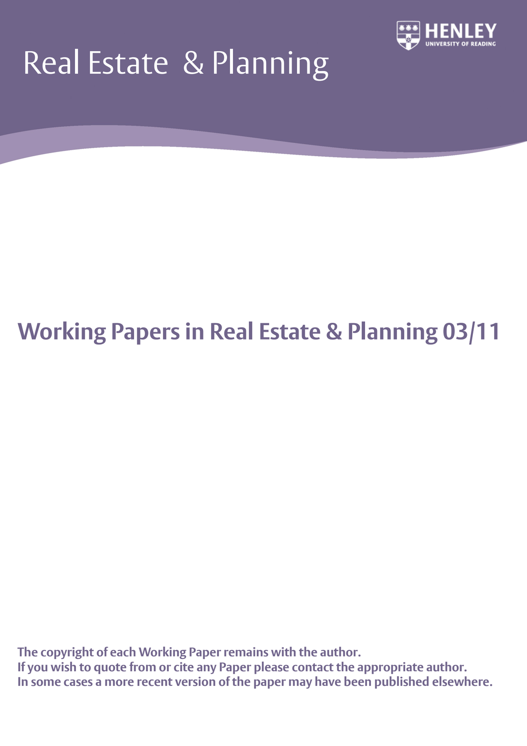# Real Estate & Planning



## **Working Papers in Real Estate & Planning 03/11**

**The copyright of each Working Paper remains with the author. If you wish to quote from or cite any Paper please contact the appropriate author. In some cases a more recent version of the paper may have been published elsewhere.**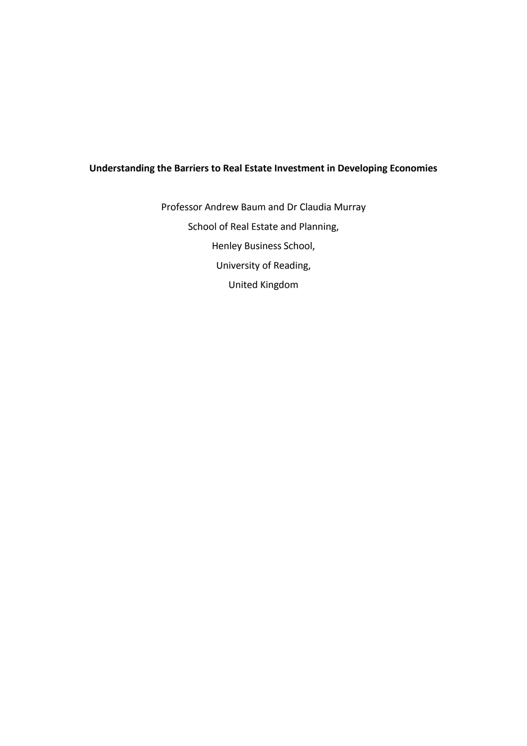### **Understanding the Barriers to Real Estate Investment in Developing Economies**

Professor Andrew Baum and Dr Claudia Murray School of Real Estate and Planning, Henley Business School, University of Reading, United Kingdom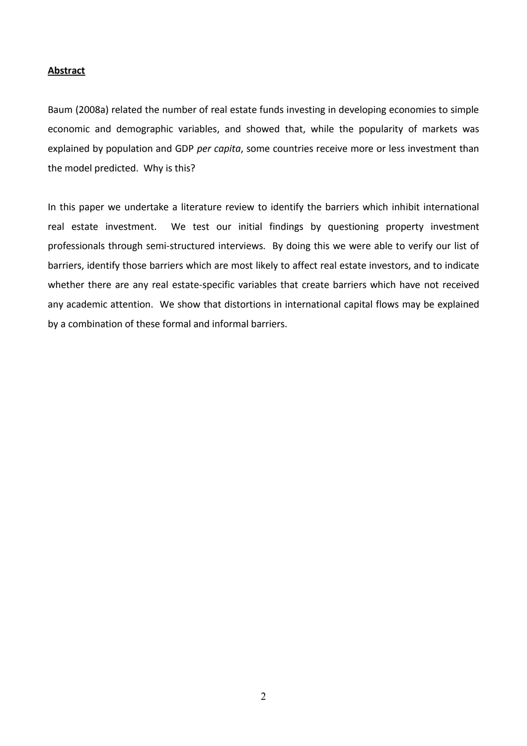#### **Abstract**

Baum (2008a) related the number of real estate funds investing in developing economies to simple economic and demographic variables, and showed that, while the popularity of markets was explained by population and GDP *per capita*, some countries receive more or less investment than the model predicted. Why is this?

In this paper we undertake a literature review to identify the barriers which inhibit international real estate investment. We test our initial findings by questioning property investment professionals through semi-structured interviews. By doing this we were able to verify our list of barriers, identify those barriers which are most likely to affect real estate investors, and to indicate whether there are any real estate-specific variables that create barriers which have not received any academic attention. We show that distortions in international capital flows may be explained by a combination of these formal and informal barriers.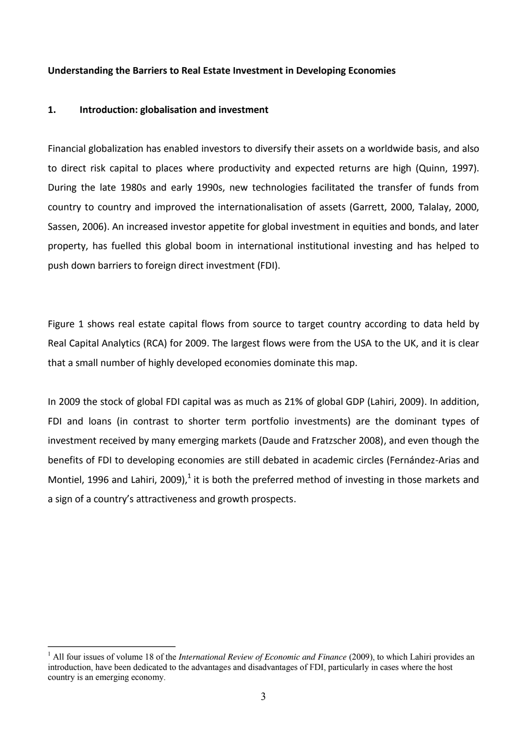#### **Understanding the Barriers to Real Estate Investment in Developing Economies**

#### **1. Introduction: globalisation and investment**

1

Financial globalization has enabled investors to diversify their assets on a worldwide basis, and also to direct risk capital to places where productivity and expected returns are high (Quinn, 1997). During the late 1980s and early 1990s, new technologies facilitated the transfer of funds from country to country and improved the internationalisation of assets (Garrett, 2000, Talalay, 2000, Sassen, 2006). An increased investor appetite for global investment in equities and bonds, and later property, has fuelled this global boom in international institutional investing and has helped to push down barriers to foreign direct investment (FDI).

Figure 1 shows real estate capital flows from source to target country according to data held by Real Capital Analytics (RCA) for 2009. The largest flows were from the USA to the UK, and it is clear that a small number of highly developed economies dominate this map.

In 2009 the stock of global FDI capital was as much as 21% of global GDP (Lahiri, 2009). In addition, FDI and loans (in contrast to shorter term portfolio investments) are the dominant types of investment received by many emerging markets (Daude and Fratzscher 2008), and even though the benefits of FDI to developing economies are still debated in academic circles (Fernández-Arias and Montiel, 1996 and Lahiri, 2009), $^1$  it is both the preferred method of investing in those markets and a sign of a country's attractiveness and growth prospects.

<sup>1</sup> All four issues of volume 18 of the *International Review of Economic and Finance* (2009), to which Lahiri provides an introduction, have been dedicated to the advantages and disadvantages of FDI, particularly in cases where the host country is an emerging economy.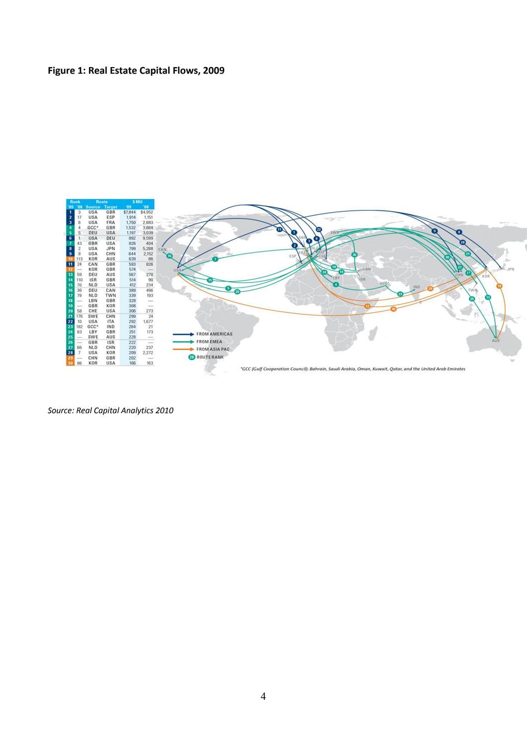### **Figure 1: Real Estate Capital Flows, 2009**



*Source: Real Capital Analytics 2010*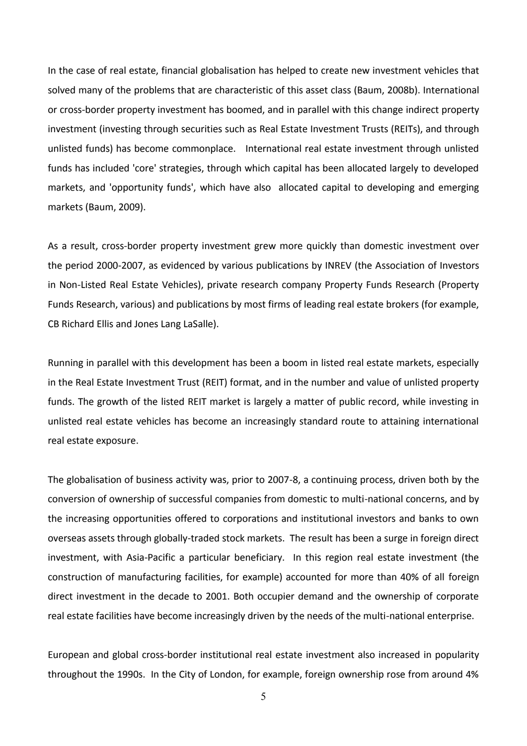In the case of real estate, financial globalisation has helped to create new investment vehicles that solved many of the problems that are characteristic of this asset class (Baum, 2008b). International or cross-border property investment has boomed, and in parallel with this change indirect property investment (investing through securities such as Real Estate Investment Trusts (REITs), and through unlisted funds) has become commonplace. International real estate investment through unlisted funds has included 'core' strategies, through which capital has been allocated largely to developed markets, and 'opportunity funds', which have also allocated capital to developing and emerging markets (Baum, 2009).

As a result, cross-border property investment grew more quickly than domestic investment over the period 2000-2007, as evidenced by various publications by INREV (the Association of Investors in Non-Listed Real Estate Vehicles), private research company Property Funds Research (Property Funds Research, various) and publications by most firms of leading real estate brokers (for example, CB Richard Ellis and Jones Lang LaSalle).

Running in parallel with this development has been a boom in listed real estate markets, especially in the Real Estate Investment Trust (REIT) format, and in the number and value of unlisted property funds. The growth of the listed REIT market is largely a matter of public record, while investing in unlisted real estate vehicles has become an increasingly standard route to attaining international real estate exposure.

The globalisation of business activity was, prior to 2007-8, a continuing process, driven both by the conversion of ownership of successful companies from domestic to multi-national concerns, and by the increasing opportunities offered to corporations and institutional investors and banks to own overseas assets through globally-traded stock markets. The result has been a surge in foreign direct investment, with Asia-Pacific a particular beneficiary. In this region real estate investment (the construction of manufacturing facilities, for example) accounted for more than 40% of all foreign direct investment in the decade to 2001. Both occupier demand and the ownership of corporate real estate facilities have become increasingly driven by the needs of the multi-national enterprise.

European and global cross-border institutional real estate investment also increased in popularity throughout the 1990s. In the City of London, for example, foreign ownership rose from around 4%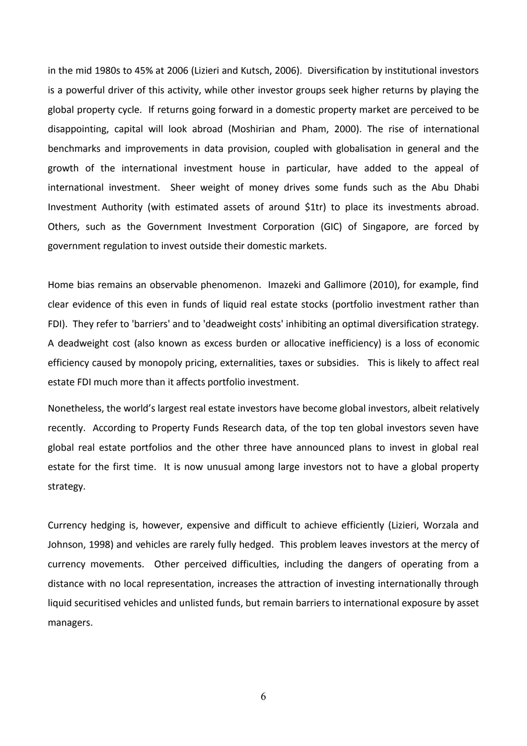in the mid 1980s to 45% at 2006 (Lizieri and Kutsch, 2006). Diversification by institutional investors is a powerful driver of this activity, while other investor groups seek higher returns by playing the global property cycle. If returns going forward in a domestic property market are perceived to be disappointing, capital will look abroad (Moshirian and Pham, 2000). The rise of international benchmarks and improvements in data provision, coupled with globalisation in general and the growth of the international investment house in particular, have added to the appeal of international investment. Sheer weight of money drives some funds such as the Abu Dhabi Investment Authority (with estimated assets of around \$1tr) to place its investments abroad. Others, such as the Government Investment Corporation (GIC) of Singapore, are forced by government regulation to invest outside their domestic markets.

Home bias remains an observable phenomenon. Imazeki and Gallimore (2010), for example, find clear evidence of this even in funds of liquid real estate stocks (portfolio investment rather than FDI). They refer to 'barriers' and to 'deadweight costs' inhibiting an optimal diversification strategy. A deadweight cost (also known as excess burden or allocative inefficiency) is a loss of [economic](http://en.wikipedia.org/wiki/Economic_efficiency)  [efficiency](http://en.wikipedia.org/wiki/Economic_efficiency) caused by [monopoly pricing,](http://en.wikipedia.org/wiki/Monopoly) [externalities,](http://en.wikipedia.org/wiki/Externality) [taxes or subsidies.](http://en.wikipedia.org/wiki/Effect_of_taxes_and_subsidies_on_price) This is likely to affect real estate FDI much more than it affects portfolio investment.

Nonetheless, the world's largest real estate investors have become global investors, albeit relatively recently. According to Property Funds Research data, of the top ten global investors seven have global real estate portfolios and the other three have announced plans to invest in global real estate for the first time. It is now unusual among large investors not to have a global property strategy.

Currency hedging is, however, expensive and difficult to achieve efficiently (Lizieri, Worzala and Johnson, 1998) and vehicles are rarely fully hedged. This problem leaves investors at the mercy of currency movements. Other perceived difficulties, including the dangers of operating from a distance with no local representation, increases the attraction of investing internationally through liquid securitised vehicles and unlisted funds, but remain barriers to international exposure by asset managers.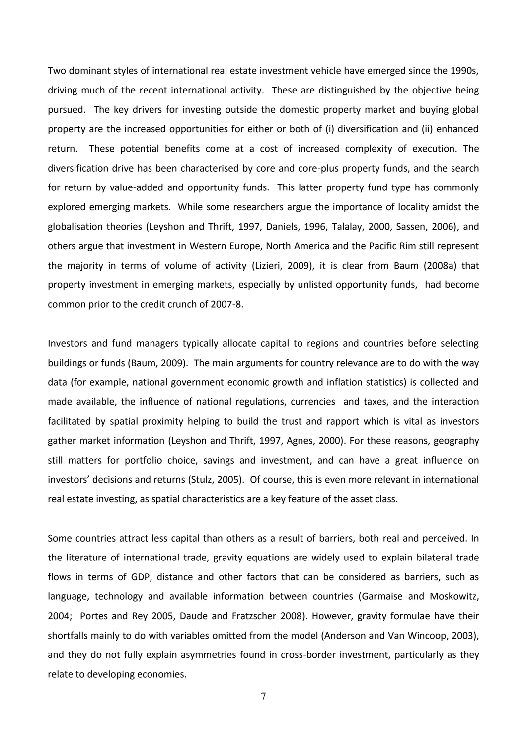Two dominant styles of international real estate investment vehicle have emerged since the 1990s, driving much of the recent international activity. These are distinguished by the objective being pursued. The key drivers for investing outside the domestic property market and buying global property are the increased opportunities for either or both of (i) diversification and (ii) enhanced return. These potential benefits come at a cost of increased complexity of execution. The diversification drive has been characterised by core and core-plus property funds, and the search for return by value-added and opportunity funds. This latter property fund type has commonly explored emerging markets. While some researchers argue the importance of locality amidst the globalisation theories (Leyshon and Thrift, 1997, Daniels, 1996, Talalay, 2000, Sassen, 2006), and others argue that investment in Western Europe, North America and the Pacific Rim still represent the majority in terms of volume of activity (Lizieri, 2009), it is clear from Baum (2008a) that property investment in emerging markets, especially by unlisted opportunity funds, had become common prior to the credit crunch of 2007-8.

Investors and fund managers typically allocate capital to regions and countries before selecting buildings or funds (Baum, 2009). The main arguments for country relevance are to do with the way data (for example, national government economic growth and inflation statistics) is collected and made available, the influence of national regulations, currencies and taxes, and the interaction facilitated by spatial proximity helping to build the trust and rapport which is vital as investors gather market information (Leyshon and Thrift, 1997, Agnes, 2000). For these reasons, geography still matters for portfolio choice, savings and investment, and can have a great influence on investors' decisions and returns (Stulz, 2005). Of course, this is even more relevant in international real estate investing, as spatial characteristics are a key feature of the asset class.

Some countries attract less capital than others as a result of barriers, both real and perceived. In the literature of international trade, gravity equations are widely used to explain bilateral trade flows in terms of GDP, distance and other factors that can be considered as barriers, such as language, technology and available information between countries (Garmaise and Moskowitz, 2004; Portes and Rey 2005, Daude and Fratzscher 2008). However, gravity formulae have their shortfalls mainly to do with variables omitted from the model (Anderson and Van Wincoop, 2003), and they do not fully explain asymmetries found in cross-border investment, particularly as they relate to developing economies.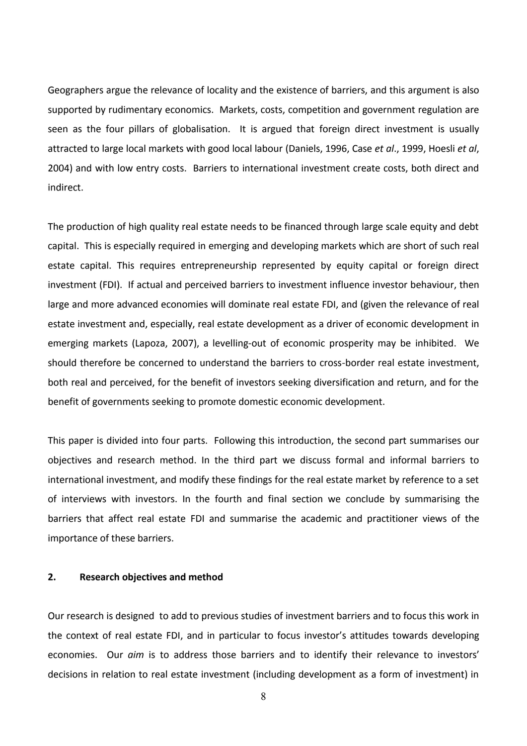Geographers argue the relevance of locality and the existence of barriers, and this argument is also supported by rudimentary economics. Markets, costs, competition and government regulation are seen as the four pillars of globalisation. It is argued that foreign direct investment is usually attracted to large local markets with good local labour (Daniels, 1996, Case *et al*., 1999, Hoesli *et al*, 2004) and with low entry costs. Barriers to international investment create costs, both direct and indirect.

The production of high quality real estate needs to be financed through large scale equity and debt capital. This is especially required in emerging and developing markets which are short of such real estate capital. This requires entrepreneurship represented by equity capital or foreign direct investment (FDI). If actual and perceived barriers to investment influence investor behaviour, then large and more advanced economies will dominate real estate FDI, and (given the relevance of real estate investment and, especially, real estate development as a driver of economic development in emerging markets (Lapoza, 2007), a levelling-out of economic prosperity may be inhibited. We should therefore be concerned to understand the barriers to cross-border real estate investment, both real and perceived, for the benefit of investors seeking diversification and return, and for the benefit of governments seeking to promote domestic economic development.

This paper is divided into four parts. Following this introduction, the second part summarises our objectives and research method. In the third part we discuss formal and informal barriers to international investment, and modify these findings for the real estate market by reference to a set of interviews with investors. In the fourth and final section we conclude by summarising the barriers that affect real estate FDI and summarise the academic and practitioner views of the importance of these barriers.

#### **2. Research objectives and method**

Our research is designed to add to previous studies of investment barriers and to focus this work in the context of real estate FDI, and in particular to focus investor's attitudes towards developing economies. Our *aim* is to address those barriers and to identify their relevance to investors' decisions in relation to real estate investment (including development as a form of investment) in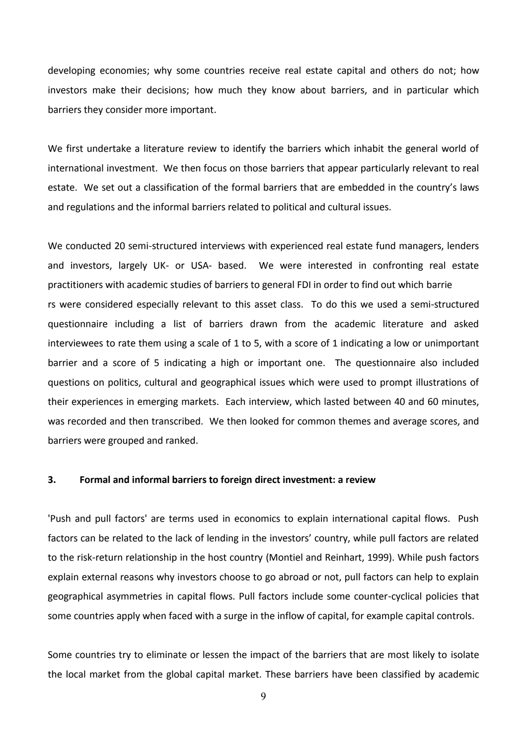developing economies; why some countries receive real estate capital and others do not; how investors make their decisions; how much they know about barriers, and in particular which barriers they consider more important.

We first undertake a literature review to identify the barriers which inhabit the general world of international investment. We then focus on those barriers that appear particularly relevant to real estate. We set out a classification of the formal barriers that are embedded in the country's laws and regulations and the informal barriers related to political and cultural issues.

We conducted 20 semi-structured interviews with experienced real estate fund managers, lenders and investors, largely UK- or USA- based. We were interested in confronting real estate practitioners with academic studies of barriers to general FDI in order to find out which barrie rs were considered especially relevant to this asset class. To do this we used a semi-structured questionnaire including a list of barriers drawn from the academic literature and asked interviewees to rate them using a scale of 1 to 5, with a score of 1 indicating a low or unimportant barrier and a score of 5 indicating a high or important one. The questionnaire also included questions on politics, cultural and geographical issues which were used to prompt illustrations of their experiences in emerging markets. Each interview, which lasted between 40 and 60 minutes, was recorded and then transcribed. We then looked for common themes and average scores, and barriers were grouped and ranked.

#### **3. Formal and informal barriers to foreign direct investment: a review**

'Push and pull factors' are terms used in economics to explain international capital flows. Push factors can be related to the lack of lending in the investors' country, while pull factors are related to the risk-return relationship in the host country (Montiel and Reinhart, 1999). While push factors explain external reasons why investors choose to go abroad or not, pull factors can help to explain geographical asymmetries in capital flows. Pull factors include some counter-cyclical policies that some countries apply when faced with a surge in the inflow of capital, for example capital controls.

Some countries try to eliminate or lessen the impact of the barriers that are most likely to isolate the local market from the global capital market. These barriers have been classified by academic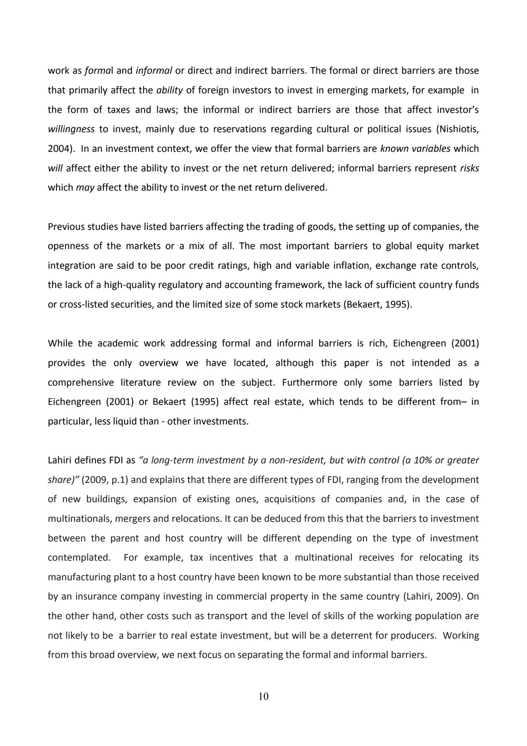work as *forma*l and *informal* or direct and indirect barriers. The formal or direct barriers are those that primarily affect the *ability* of foreign investors to invest in emerging markets, for example in the form of taxes and laws; the informal or indirect barriers are those that affect investor's *willingness* to invest, mainly due to reservations regarding cultural or political issues (Nishiotis, 2004). In an investment context, we offer the view that formal barriers are *known variables* which *will* affect either the ability to invest or the net return delivered; informal barriers represent *risks* which *may* affect the ability to invest or the net return delivered.

Previous studies have listed barriers affecting the trading of goods, the setting up of companies, the openness of the markets or a mix of all. The most important barriers to global equity market integration are said to be poor credit ratings, high and variable inflation, exchange rate controls, the lack of a high-quality regulatory and accounting framework, the lack of sufficient country funds or cross-listed securities, and the limited size of some stock markets (Bekaert, 1995).

While the academic work addressing formal and informal barriers is rich, Eichengreen (2001) provides the only overview we have located, although this paper is not intended as a comprehensive literature review on the subject. Furthermore only some barriers listed by Eichengreen (2001) or Bekaert (1995) affect real estate, which tends to be different from– in particular, less liquid than - other investments.

Lahiri defines FDI as *"a long-term investment by a non-resident, but with control (a 10% or greater share)"* (2009, p.1) and explains that there are different types of FDI, ranging from the development of new buildings, expansion of existing ones, acquisitions of companies and, in the case of multinationals, mergers and relocations. It can be deduced from this that the barriers to investment between the parent and host country will be different depending on the type of investment contemplated. For example, tax incentives that a multinational receives for relocating its manufacturing plant to a host country have been known to be more substantial than those received by an insurance company investing in commercial property in the same country (Lahiri, 2009). On the other hand, other costs such as transport and the level of skills of the working population are not likely to be a barrier to real estate investment, but will be a deterrent for producers. Working from this broad overview, we next focus on separating the formal and informal barriers.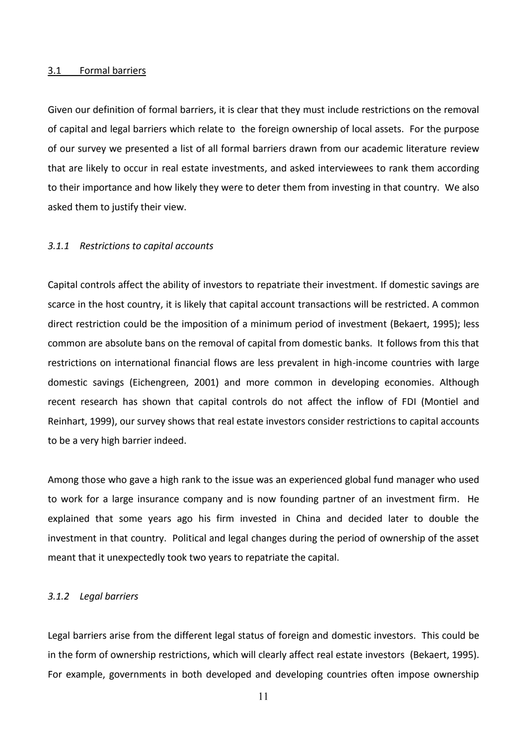#### 3.1 Formal barriers

Given our definition of formal barriers, it is clear that they must include restrictions on the removal of capital and legal barriers which relate to the foreign ownership of local assets. For the purpose of our survey we presented a list of all formal barriers drawn from our academic literature review that are likely to occur in real estate investments, and asked interviewees to rank them according to their importance and how likely they were to deter them from investing in that country. We also asked them to justify their view.

#### *3.1.1 Restrictions to capital accounts*

Capital controls affect the ability of investors to repatriate their investment. If domestic savings are scarce in the host country, it is likely that capital account transactions will be restricted. A common direct restriction could be the imposition of a minimum period of investment (Bekaert, 1995); less common are absolute bans on the removal of capital from domestic banks. It follows from this that restrictions on international financial flows are less prevalent in high-income countries with large domestic savings (Eichengreen, 2001) and more common in developing economies. Although recent research has shown that capital controls do not affect the inflow of FDI (Montiel and Reinhart, 1999), our survey shows that real estate investors consider restrictions to capital accounts to be a very high barrier indeed.

Among those who gave a high rank to the issue was an experienced global fund manager who used to work for a large insurance company and is now founding partner of an investment firm. He explained that some years ago his firm invested in China and decided later to double the investment in that country. Political and legal changes during the period of ownership of the asset meant that it unexpectedly took two years to repatriate the capital.

#### *3.1.2 Legal barriers*

Legal barriers arise from the different legal status of foreign and domestic investors. This could be in the form of ownership restrictions, which will clearly affect real estate investors (Bekaert, 1995). For example, governments in both developed and developing countries often impose ownership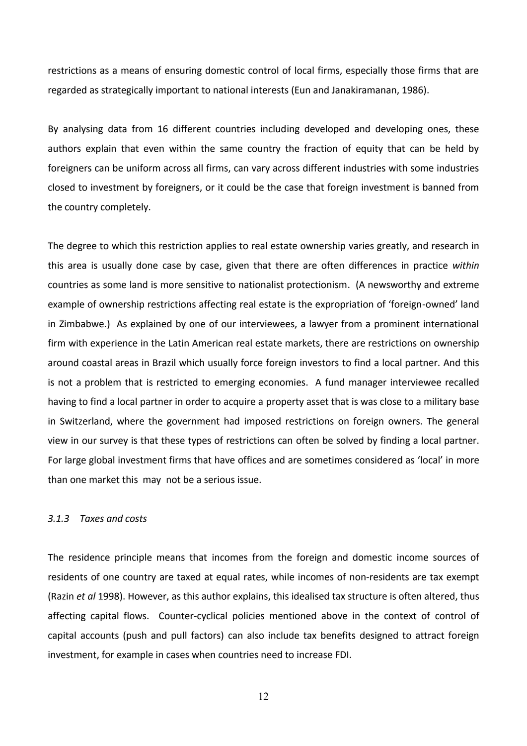restrictions as a means of ensuring domestic control of local firms, especially those firms that are regarded as strategically important to national interests (Eun and Janakiramanan, 1986).

By analysing data from 16 different countries including developed and developing ones, these authors explain that even within the same country the fraction of equity that can be held by foreigners can be uniform across all firms, can vary across different industries with some industries closed to investment by foreigners, or it could be the case that foreign investment is banned from the country completely.

The degree to which this restriction applies to real estate ownership varies greatly, and research in this area is usually done case by case, given that there are often differences in practice *within* countries as some land is more sensitive to nationalist protectionism. (A newsworthy and extreme example of ownership restrictions affecting real estate is the expropriation of 'foreign-owned' land in Zimbabwe.) As explained by one of our interviewees, a lawyer from a prominent international firm with experience in the Latin American real estate markets, there are restrictions on ownership around coastal areas in Brazil which usually force foreign investors to find a local partner. And this is not a problem that is restricted to emerging economies. A fund manager interviewee recalled having to find a local partner in order to acquire a property asset that is was close to a military base in Switzerland, where the government had imposed restrictions on foreign owners. The general view in our survey is that these types of restrictions can often be solved by finding a local partner. For large global investment firms that have offices and are sometimes considered as 'local' in more than one market this may not be a serious issue.

#### *3.1.3 Taxes and costs*

The residence principle means that incomes from the foreign and domestic income sources of residents of one country are taxed at equal rates, while incomes of non-residents are tax exempt (Razin *et al* 1998). However, as this author explains, this idealised tax structure is often altered, thus affecting capital flows. Counter-cyclical policies mentioned above in the context of control of capital accounts (push and pull factors) can also include tax benefits designed to attract foreign investment, for example in cases when countries need to increase FDI.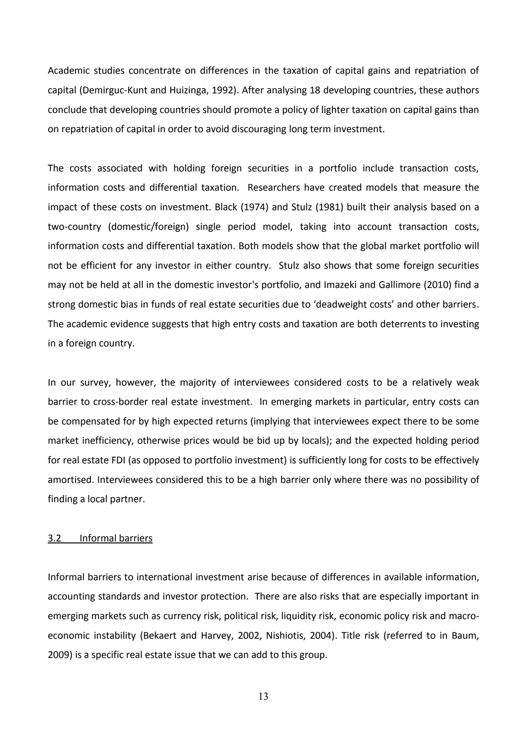Academic studies concentrate on differences in the taxation of capital gains and repatriation of capital (Demirguc-Kunt and Huizinga, 1992). After analysing 18 developing countries, these authors conclude that developing countries should promote a policy of lighter taxation on capital gains than on repatriation of capital in order to avoid discouraging long term investment.

The costs associated with holding foreign securities in a portfolio include transaction costs, information costs and differential taxation. Researchers have created models that measure the impact of these costs on investment. Black (1974) and Stulz (1981) built their analysis based on a two-country (domestic/foreign) single period model, taking into account transaction costs, information costs and differential taxation. Both models show that the global market portfolio will not be efficient for any investor in either country. Stulz also shows that some foreign securities may not be held at all in the domestic investor's portfolio, and Imazeki and Gallimore (2010) find a strong domestic bias in funds of real estate securities due to 'deadweight costs' and other barriers. The academic evidence suggests that high entry costs and taxation are both deterrents to investing in a foreign country.

In our survey, however, the majority of interviewees considered costs to be a relatively weak barrier to cross-border real estate investment. In emerging markets in particular, entry costs can be compensated for by high expected returns (implying that interviewees expect there to be some market inefficiency, otherwise prices would be bid up by locals); and the expected holding period for real estate FDI (as opposed to portfolio investment) is sufficiently long for costs to be effectively amortised. Interviewees considered this to be a high barrier only where there was no possibility of finding a local partner.

#### 3.2 Informal barriers

Informal barriers to international investment arise because of differences in available information, accounting standards and investor protection. There are also risks that are especially important in emerging markets such as currency risk, political risk, liquidity risk, economic policy risk and macroeconomic instability (Bekaert and Harvey, 2002, Nishiotis, 2004). Title risk (referred to in Baum, 2009) is a specific real estate issue that we can add to this group.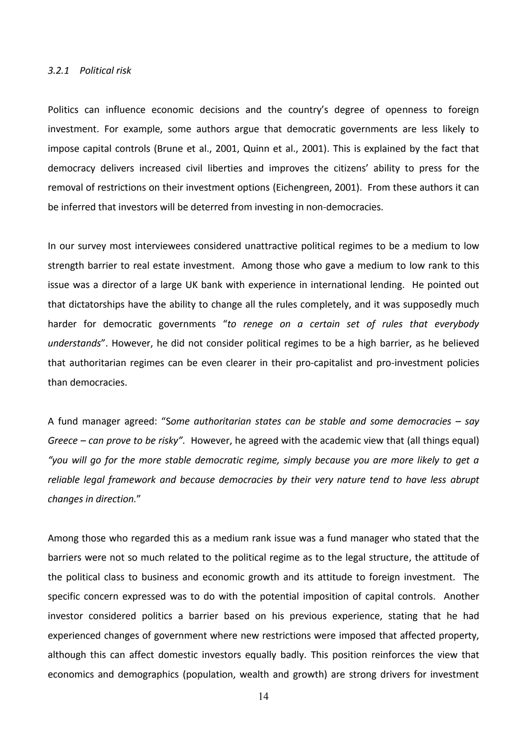#### *3.2.1 Political risk*

Politics can influence economic decisions and the country's degree of openness to foreign investment. For example, some authors argue that democratic governments are less likely to impose capital controls (Brune et al., 2001, Quinn et al., 2001). This is explained by the fact that democracy delivers increased civil liberties and improves the citizens' ability to press for the removal of restrictions on their investment options (Eichengreen, 2001). From these authors it can be inferred that investors will be deterred from investing in non-democracies.

In our survey most interviewees considered unattractive political regimes to be a medium to low strength barrier to real estate investment. Among those who gave a medium to low rank to this issue was a director of a large UK bank with experience in international lending. He pointed out that dictatorships have the ability to change all the rules completely, and it was supposedly much harder for democratic governments "*to renege on a certain set of rules that everybody understands*". However, he did not consider political regimes to be a high barrier, as he believed that authoritarian regimes can be even clearer in their pro-capitalist and pro-investment policies than democracies.

A fund manager agreed: "S*ome authoritarian states can be stable and some democracies – say Greece – can prove to be risky".* However, he agreed with the academic view that (all things equal) *"you will go for the more stable democratic regime, simply because you are more likely to get a reliable legal framework and because democracies by their very nature tend to have less abrupt changes in direction.*"

Among those who regarded this as a medium rank issue was a fund manager who stated that the barriers were not so much related to the political regime as to the legal structure, the attitude of the political class to business and economic growth and its attitude to foreign investment. The specific concern expressed was to do with the potential imposition of capital controls. Another investor considered politics a barrier based on his previous experience, stating that he had experienced changes of government where new restrictions were imposed that affected property, although this can affect domestic investors equally badly. This position reinforces the view that economics and demographics (population, wealth and growth) are strong drivers for investment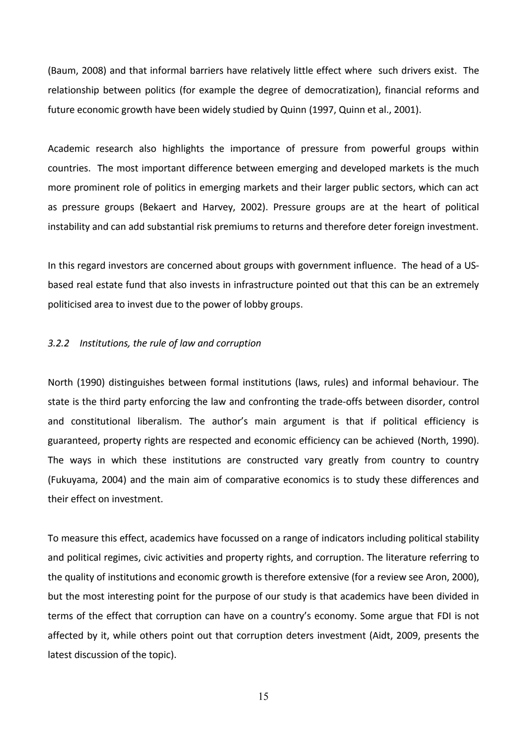(Baum, 2008) and that informal barriers have relatively little effect where such drivers exist. The relationship between politics (for example the degree of democratization), financial reforms and future economic growth have been widely studied by Quinn (1997, Quinn et al., 2001).

Academic research also highlights the importance of pressure from powerful groups within countries. The most important difference between emerging and developed markets is the much more prominent role of politics in emerging markets and their larger public sectors, which can act as pressure groups (Bekaert and Harvey, 2002). Pressure groups are at the heart of political instability and can add substantial risk premiums to returns and therefore deter foreign investment.

In this regard investors are concerned about groups with government influence. The head of a USbased real estate fund that also invests in infrastructure pointed out that this can be an extremely politicised area to invest due to the power of lobby groups.

#### *3.2.2 Institutions, the rule of law and corruption*

North (1990) distinguishes between formal institutions (laws, rules) and informal behaviour. The state is the third party enforcing the law and confronting the trade-offs between disorder, control and constitutional liberalism. The author's main argument is that if political efficiency is guaranteed, property rights are respected and economic efficiency can be achieved (North, 1990). The ways in which these institutions are constructed vary greatly from country to country (Fukuyama, 2004) and the main aim of comparative economics is to study these differences and their effect on investment.

To measure this effect, academics have focussed on a range of indicators including political stability and political regimes, civic activities and property rights, and corruption. The literature referring to the quality of institutions and economic growth is therefore extensive (for a review see Aron, 2000), but the most interesting point for the purpose of our study is that academics have been divided in terms of the effect that corruption can have on a country's economy. Some argue that FDI is not affected by it, while others point out that corruption deters investment (Aidt, 2009, presents the latest discussion of the topic).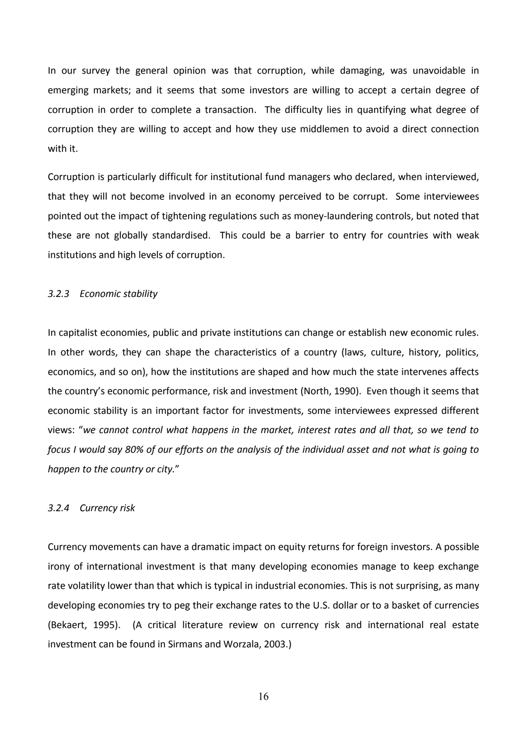In our survey the general opinion was that corruption, while damaging, was unavoidable in emerging markets; and it seems that some investors are willing to accept a certain degree of corruption in order to complete a transaction. The difficulty lies in quantifying what degree of corruption they are willing to accept and how they use middlemen to avoid a direct connection with it.

Corruption is particularly difficult for institutional fund managers who declared, when interviewed, that they will not become involved in an economy perceived to be corrupt. Some interviewees pointed out the impact of tightening regulations such as money-laundering controls, but noted that these are not globally standardised. This could be a barrier to entry for countries with weak institutions and high levels of corruption.

#### *3.2.3 Economic stability*

In capitalist economies, public and private institutions can change or establish new economic rules. In other words, they can shape the characteristics of a country (laws, culture, history, politics, economics, and so on), how the institutions are shaped and how much the state intervenes affects the country's economic performance, risk and investment (North, 1990). Even though it seems that economic stability is an important factor for investments, some interviewees expressed different views: "*we cannot control what happens in the market, interest rates and all that, so we tend to focus I would say 80% of our efforts on the analysis of the individual asset and not what is going to happen to the country or city.*"

#### *3.2.4 Currency risk*

Currency movements can have a dramatic impact on equity returns for foreign investors. A possible irony of international investment is that many developing economies manage to keep exchange rate volatility lower than that which is typical in industrial economies. This is not surprising, as many developing economies try to peg their exchange rates to the U.S. dollar or to a basket of currencies (Bekaert, 1995). (A critical literature review on currency risk and international real estate investment can be found in Sirmans and Worzala, 2003.)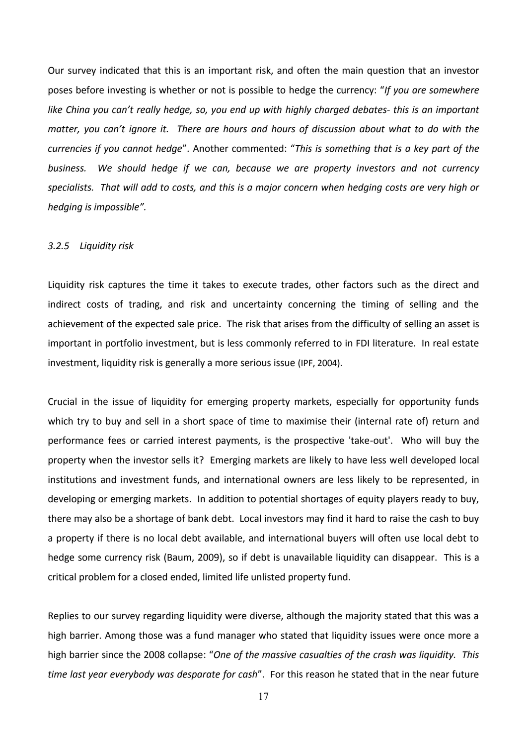Our survey indicated that this is an important risk, and often the main question that an investor poses before investing is whether or not is possible to hedge the currency: "*If you are somewhere like China you can't really hedge, so, you end up with highly charged debates- this is an important matter, you can't ignore it. There are hours and hours of discussion about what to do with the currencies if you cannot hedge*". Another commented: "*This is something that is a key part of the business. We should hedge if we can, because we are property investors and not currency specialists. That will add to costs, and this is a major concern when hedging costs are very high or hedging is impossible".*

#### *3.2.5 Liquidity risk*

Liquidity risk captures the time it takes to execute trades, other factors such as the direct and indirect costs of trading, and risk and uncertainty concerning the timing of selling and the achievement of the expected sale price. The [risk](http://www.investorwords.com/4292/risk.html) that arises from the difficulty of [selling](http://www.businessdictionary.com/definition/selling.html) an [asset](http://www.investorwords.com/273/asset.html) is important in portfolio investment, but is less commonly referred to in FDI literature. In real estate investment, liquidity risk is generally a more serious issue (IPF, 2004).

Crucial in the issue of liquidity for emerging property markets, especially for opportunity funds which try to buy and sell in a short space of time to maximise their (internal rate of) return and performance fees or carried interest payments, is the prospective 'take-out'. Who will buy the property when the investor sells it? Emerging markets are likely to have less well developed local institutions and investment funds, and international owners are less likely to be represented, in developing or emerging markets. In addition to potential shortages of equity players ready to buy, there may also be a shortage of bank debt. Local investors may find it hard to raise the cash to buy a property if there is no local debt available, and international buyers will often use local debt to hedge some currency risk (Baum, 2009), so if debt is unavailable liquidity can disappear. This is a critical problem for a closed ended, limited life unlisted property fund.

Replies to our survey regarding liquidity were diverse, although the majority stated that this was a high barrier. Among those was a fund manager who stated that liquidity issues were once more a high barrier since the 2008 collapse: "*One of the massive casualties of the crash was liquidity. This time last year everybody was desparate for cash*". For this reason he stated that in the near future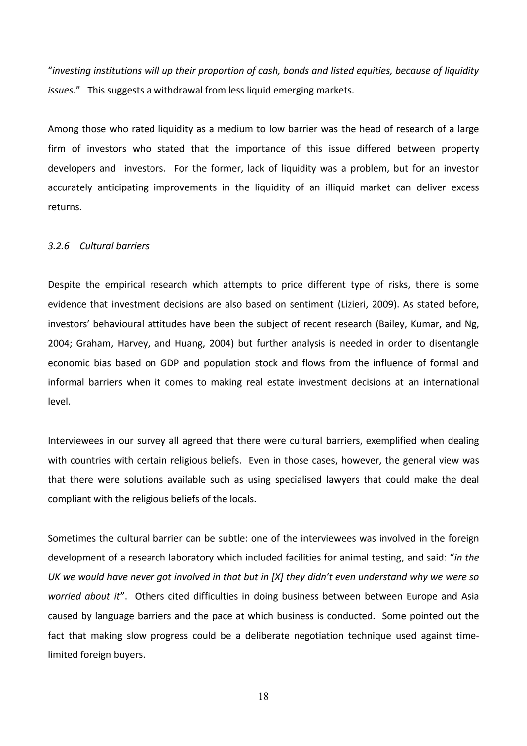"*investing institutions will up their proportion of cash, bonds and listed equities, because of liquidity issues*." This suggests a withdrawal from less liquid emerging markets.

Among those who rated liquidity as a medium to low barrier was the head of research of a large firm of investors who stated that the importance of this issue differed between property developers and investors. For the former, lack of liquidity was a problem, but for an investor accurately anticipating improvements in the liquidity of an illiquid market can deliver excess returns.

#### *3.2.6 Cultural barriers*

Despite the empirical research which attempts to price different type of risks, there is some evidence that investment decisions are also based on sentiment (Lizieri, 2009). As stated before, investors' behavioural attitudes have been the subject of recent research (Bailey, Kumar, and Ng, 2004; Graham, Harvey, and Huang, 2004) but further analysis is needed in order to disentangle economic bias based on GDP and population stock and flows from the influence of formal and informal barriers when it comes to making real estate investment decisions at an international level.

Interviewees in our survey all agreed that there were cultural barriers, exemplified when dealing with countries with certain religious beliefs. Even in those cases, however, the general view was that there were solutions available such as using specialised lawyers that could make the deal compliant with the religious beliefs of the locals.

Sometimes the cultural barrier can be subtle: one of the interviewees was involved in the foreign development of a research laboratory which included facilities for animal testing, and said: "*in the UK we would have never got involved in that but in [X] they didn't even understand why we were so worried about it*". Others cited difficulties in doing business between between Europe and Asia caused by language barriers and the pace at which business is conducted. Some pointed out the fact that making slow progress could be a deliberate negotiation technique used against timelimited foreign buyers.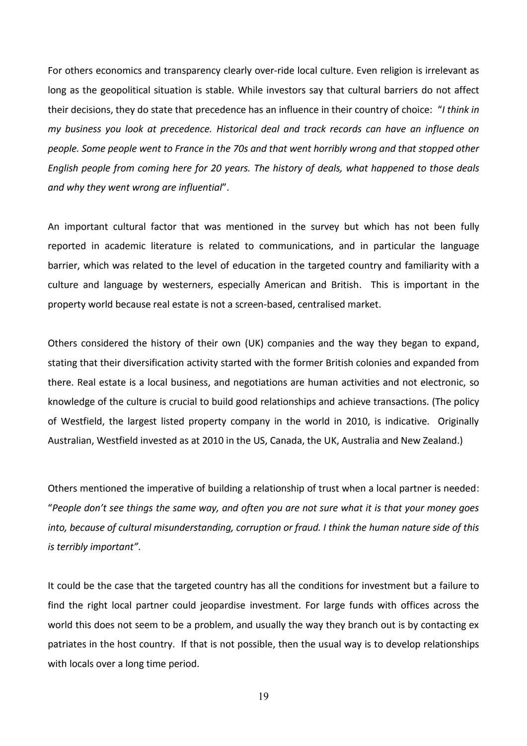For others economics and transparency clearly over-ride local culture. Even religion is irrelevant as long as the geopolitical situation is stable. While investors say that cultural barriers do not affect their decisions, they do state that precedence has an influence in their country of choice: "*I think in my business you look at precedence. Historical deal and track records can have an influence on people. Some people went to France in the 70s and that went horribly wrong and that stopped other English people from coming here for 20 years. The history of deals, what happened to those deals and why they went wrong are influential*".

An important cultural factor that was mentioned in the survey but which has not been fully reported in academic literature is related to communications, and in particular the language barrier, which was related to the level of education in the targeted country and familiarity with a culture and language by westerners, especially American and British. This is important in the property world because real estate is not a screen-based, centralised market.

Others considered the history of their own (UK) companies and the way they began to expand, stating that their diversification activity started with the former British colonies and expanded from there. Real estate is a local business, and negotiations are human activities and not electronic, so knowledge of the culture is crucial to build good relationships and achieve transactions. (The policy of Westfield, the largest listed property company in the world in 2010, is indicative. Originally Australian, Westfield invested as at 2010 in the US, Canada, the UK, Australia and New Zealand.)

Others mentioned the imperative of building a relationship of trust when a local partner is needed: "*People don't see things the same way, and often you are not sure what it is that your money goes into, because of cultural misunderstanding, corruption or fraud. I think the human nature side of this is terribly important"*.

It could be the case that the targeted country has all the conditions for investment but a failure to find the right local partner could jeopardise investment. For large funds with offices across the world this does not seem to be a problem, and usually the way they branch out is by contacting ex patriates in the host country. If that is not possible, then the usual way is to develop relationships with locals over a long time period.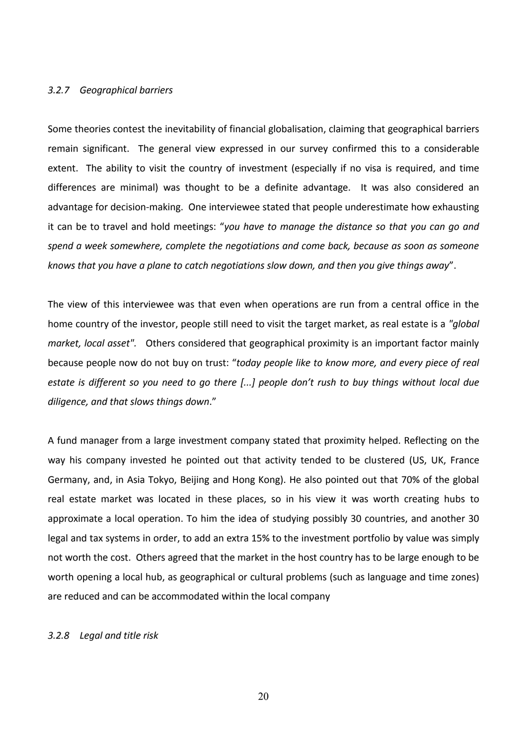#### *3.2.7 Geographical barriers*

Some theories contest the inevitability of financial globalisation, claiming that geographical barriers remain significant. The general view expressed in our survey confirmed this to a considerable extent. The ability to visit the country of investment (especially if no visa is required, and time differences are minimal) was thought to be a definite advantage. It was also considered an advantage for decision-making. One interviewee stated that people underestimate how exhausting it can be to travel and hold meetings: "*you have to manage the distance so that you can go and spend a week somewhere, complete the negotiations and come back, because as soon as someone knows that you have a plane to catch negotiations slow down, and then you give things away*".

The view of this interviewee was that even when operations are run from a central office in the home country of the investor, people still need to visit the target market, as real estate is a *"global market, local asset".* Others considered that geographical proximity is an important factor mainly because people now do not buy on trust: "*today people like to know more, and every piece of real estate is different so you need to go there [...] people don't rush to buy things without local due diligence, and that slows things down*."

A fund manager from a large investment company stated that proximity helped. Reflecting on the way his company invested he pointed out that activity tended to be clustered (US, UK, France Germany, and, in Asia Tokyo, Beijing and Hong Kong). He also pointed out that 70% of the global real estate market was located in these places, so in his view it was worth creating hubs to approximate a local operation. To him the idea of studying possibly 30 countries, and another 30 legal and tax systems in order, to add an extra 15% to the investment portfolio by value was simply not worth the cost. Others agreed that the market in the host country has to be large enough to be worth opening a local hub, as geographical or cultural problems (such as language and time zones) are reduced and can be accommodated within the local company

#### *3.2.8 Legal and title risk*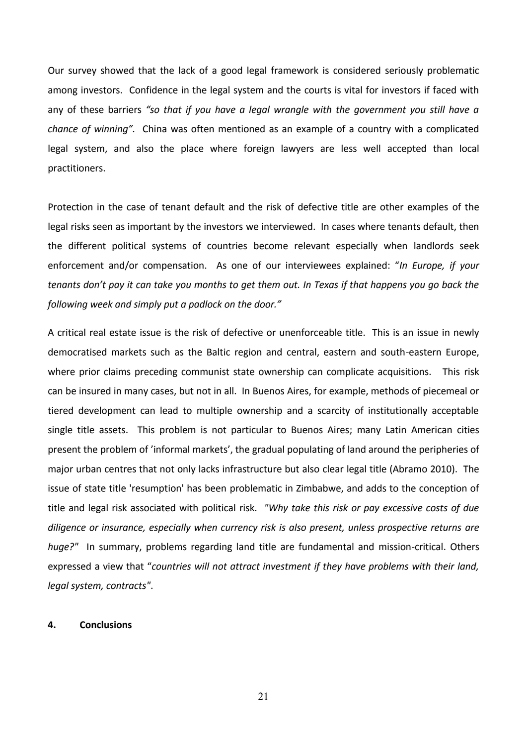Our survey showed that the lack of a good legal framework is considered seriously problematic among investors. Confidence in the legal system and the courts is vital for investors if faced with any of these barriers *"so that if you have a legal wrangle with the government you still have a chance of winning".* China was often mentioned as an example of a country with a complicated legal system, and also the place where foreign lawyers are less well accepted than local practitioners.

Protection in the case of tenant default and the risk of defective title are other examples of the legal risks seen as important by the investors we interviewed. In cases where tenants default, then the different political systems of countries become relevant especially when landlords seek enforcement and/or compensation. As one of our interviewees explained: "*In Europe, if your tenants don't pay it can take you months to get them out. In Texas if that happens you go back the following week and simply put a padlock on the door."* 

A critical real estate issue is the risk of defective or unenforceable title. This is an issue in newly democratised markets such as the Baltic region and central, eastern and south-eastern Europe, where prior claims preceding communist state ownership can complicate acquisitions. This risk can be insured in many cases, but not in all. In Buenos Aires, for example, methods of piecemeal or tiered development can lead to multiple ownership and a scarcity of institutionally acceptable single title assets. This problem is not particular to Buenos Aires; many Latin American cities present the problem of 'informal markets', the gradual populating of land around the peripheries of major urban centres that not only lacks infrastructure but also clear legal title (Abramo 2010). The issue of state title 'resumption' has been problematic in Zimbabwe, and adds to the conception of title and legal risk associated with political risk. *"Why take this risk or pay excessive costs of due diligence or insurance, especially when currency risk is also present, unless prospective returns are huge?"* In summary, problems regarding land title are fundamental and mission-critical. Others expressed a view that "*countries will not attract investment if they have problems with their land, legal system, contracts"*.

#### **4. Conclusions**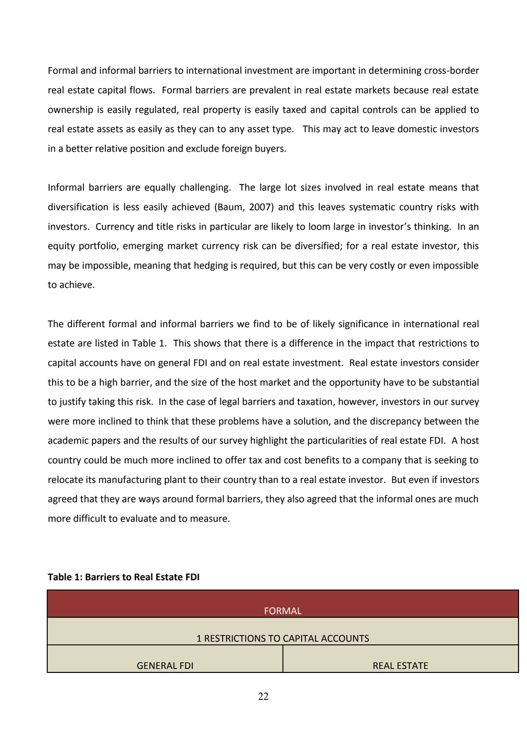Formal and informal barriers to international investment are important in determining cross-border real estate capital flows. Formal barriers are prevalent in real estate markets because real estate ownership is easily regulated, real property is easily taxed and capital controls can be applied to real estate assets as easily as they can to any asset type. This may act to leave domestic investors in a better relative position and exclude foreign buyers.

Informal barriers are equally challenging. The large lot sizes involved in real estate means that diversification is less easily achieved (Baum, 2007) and this leaves systematic country risks with investors. Currency and title risks in particular are likely to loom large in investor's thinking. In an equity portfolio, emerging market currency risk can be diversified; for a real estate investor, this may be impossible, meaning that hedging is required, but this can be very costly or even impossible to achieve.

The different formal and informal barriers we find to be of likely significance in international real estate are listed in Table 1. This shows that there is a difference in the impact that restrictions to capital accounts have on general FDI and on real estate investment. Real estate investors consider this to be a high barrier, and the size of the host market and the opportunity have to be substantial to justify taking this risk. In the case of legal barriers and taxation, however, investors in our survey were more inclined to think that these problems have a solution, and the discrepancy between the academic papers and the results of our survey highlight the particularities of real estate FDI. A host country could be much more inclined to offer tax and cost benefits to a company that is seeking to relocate its manufacturing plant to their country than to a real estate investor. But even if investors agreed that they are ways around formal barriers, they also agreed that the informal ones are much more difficult to evaluate and to measure.

#### **Table 1: Barriers to Real Estate FDI**

| <b>FORMAL</b>                      |                    |  |
|------------------------------------|--------------------|--|
|                                    |                    |  |
| 1 RESTRICTIONS TO CAPITAL ACCOUNTS |                    |  |
|                                    |                    |  |
| <b>GENERAL FDI</b>                 | <b>REAL ESTATE</b> |  |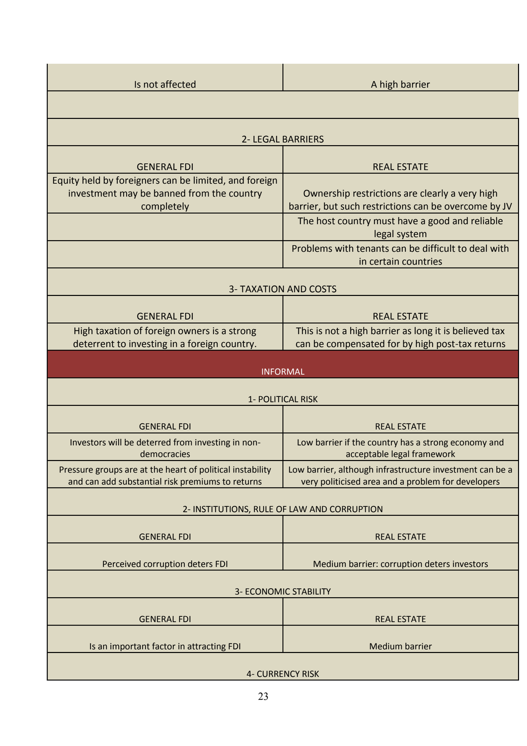| Is not affected                                                                                                  | A high barrier                                                                                                                                           |
|------------------------------------------------------------------------------------------------------------------|----------------------------------------------------------------------------------------------------------------------------------------------------------|
|                                                                                                                  |                                                                                                                                                          |
| <b>2- LEGAL BARRIERS</b>                                                                                         |                                                                                                                                                          |
| <b>GENERAL FDI</b>                                                                                               | <b>REAL ESTATE</b>                                                                                                                                       |
| Equity held by foreigners can be limited, and foreign<br>investment may be banned from the country<br>completely | Ownership restrictions are clearly a very high<br>barrier, but such restrictions can be overcome by JV<br>The host country must have a good and reliable |
|                                                                                                                  | legal system                                                                                                                                             |
|                                                                                                                  | Problems with tenants can be difficult to deal with<br>in certain countries                                                                              |
| <b>3- TAXATION AND COSTS</b>                                                                                     |                                                                                                                                                          |
| <b>GENERAL FDI</b>                                                                                               | <b>REAL ESTATE</b>                                                                                                                                       |
| High taxation of foreign owners is a strong<br>deterrent to investing in a foreign country.                      | This is not a high barrier as long it is believed tax<br>can be compensated for by high post-tax returns                                                 |
| <b>INFORMAL</b>                                                                                                  |                                                                                                                                                          |
| 1- POLITICAL RISK                                                                                                |                                                                                                                                                          |
|                                                                                                                  |                                                                                                                                                          |
| <b>GENERAL FDI</b><br>Investors will be deterred from investing in non-                                          | <b>REAL ESTATE</b><br>Low barrier if the country has a strong economy and                                                                                |
| democracies                                                                                                      | acceptable legal framework                                                                                                                               |
| Pressure groups are at the heart of political instability<br>and can add substantial risk premiums to returns    | Low barrier, although infrastructure investment can be a<br>very politicised area and a problem for developers                                           |
| 2- INSTITUTIONS, RULE OF LAW AND CORRUPTION                                                                      |                                                                                                                                                          |
| <b>GENERAL FDI</b>                                                                                               | <b>REAL ESTATE</b>                                                                                                                                       |
| Perceived corruption deters FDI                                                                                  | Medium barrier: corruption deters investors                                                                                                              |
| <b>3- ECONOMIC STABILITY</b>                                                                                     |                                                                                                                                                          |
| <b>GENERAL FDI</b>                                                                                               | <b>REAL ESTATE</b>                                                                                                                                       |
| Is an important factor in attracting FDI                                                                         | <b>Medium barrier</b>                                                                                                                                    |
| <b>4- CURRENCY RISK</b>                                                                                          |                                                                                                                                                          |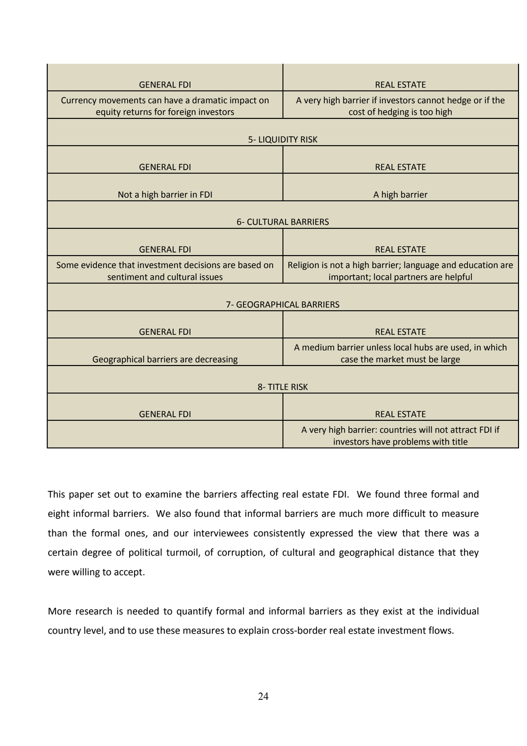| <b>GENERAL FDI</b>                                   | <b>REAL ESTATE</b>                                         |  |
|------------------------------------------------------|------------------------------------------------------------|--|
| Currency movements can have a dramatic impact on     | A very high barrier if investors cannot hedge or if the    |  |
| equity returns for foreign investors                 | cost of hedging is too high                                |  |
|                                                      |                                                            |  |
| <b>5- LIQUIDITY RISK</b>                             |                                                            |  |
|                                                      |                                                            |  |
| <b>GENERAL FDI</b>                                   | <b>REAL ESTATE</b>                                         |  |
|                                                      |                                                            |  |
| Not a high barrier in FDI                            | A high barrier                                             |  |
|                                                      |                                                            |  |
| <b>6- CULTURAL BARRIERS</b>                          |                                                            |  |
|                                                      |                                                            |  |
| <b>GENERAL FDI</b>                                   | <b>REAL ESTATE</b>                                         |  |
| Some evidence that investment decisions are based on | Religion is not a high barrier; language and education are |  |
| sentiment and cultural issues                        | important; local partners are helpful                      |  |
|                                                      |                                                            |  |
| 7- GEOGRAPHICAL BARRIERS                             |                                                            |  |
|                                                      |                                                            |  |
| <b>GENERAL FDI</b>                                   | <b>REAL ESTATE</b>                                         |  |
|                                                      | A medium barrier unless local hubs are used, in which      |  |
| Geographical barriers are decreasing                 | case the market must be large                              |  |
|                                                      |                                                            |  |
| 8-TITLE RISK                                         |                                                            |  |
|                                                      |                                                            |  |
| <b>GENERAL FDI</b>                                   | <b>REAL ESTATE</b>                                         |  |
|                                                      | A very high barrier: countries will not attract FDI if     |  |
|                                                      | investors have problems with title                         |  |

This paper set out to examine the barriers affecting real estate FDI. We found three formal and eight informal barriers. We also found that informal barriers are much more difficult to measure than the formal ones, and our interviewees consistently expressed the view that there was a certain degree of political turmoil, of corruption, of cultural and geographical distance that they were willing to accept.

More research is needed to quantify formal and informal barriers as they exist at the individual country level, and to use these measures to explain cross-border real estate investment flows.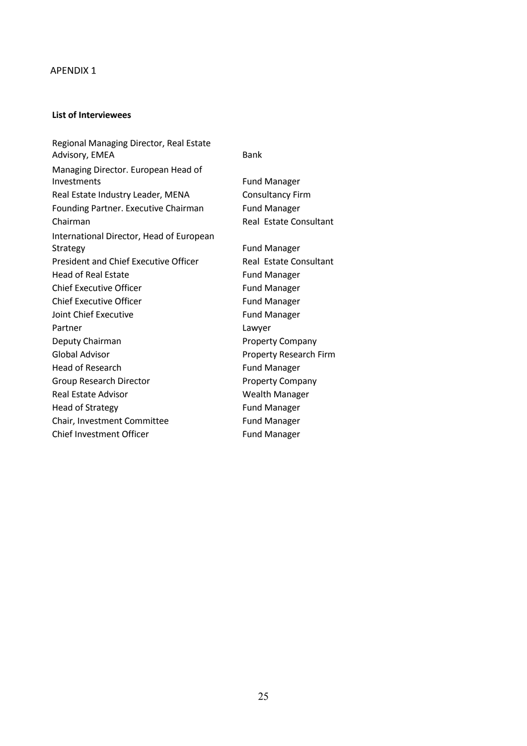#### APENDIX 1

#### **List of Interviewees**

Regional Managing Director, Real Estate Advisory, EMEA Bank Managing Director. European Head of Investments Fund Manager Real Estate Industry Leader, MENA Consultancy Firm Founding Partner. Executive Chairman Fund Manager Chairman Chairman Chairman Chairman Chairman Chairman Chairman Chairman Chairman Chairman Chairman Chairman Ch International Director, Head of European Strategy **Fund Manager** President and Chief Executive Officer Real Estate Consultant Head of Real Estate Fund Manager Chief Executive Officer Fund Manager Chief Executive Officer Fund Manager Joint Chief Executive **Fund Manager** Partner Lawyer Deputy Chairman **Property Company** Global Advisor **Advices Property Research Firm** Head of Research **Fund Manager** Fund Manager Group Research Director **Property Company** Real Estate Advisor **Wealth Manager** Head of Strategy **Fund Manager** Fund Manager Chair, Investment Committee Fund Manager Chief Investment Officer Fund Manager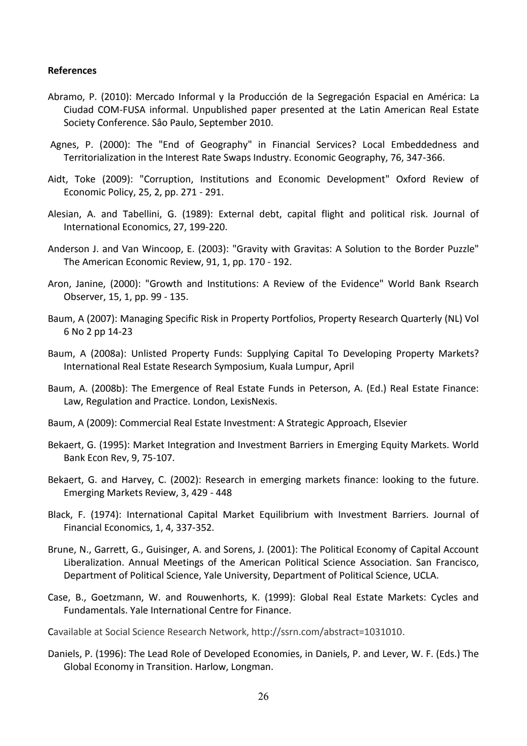#### **References**

- Abramo, P. (2010): Mercado Informal y la Producción de la Segregación Espacial en América: La Ciudad COM-FUSA informal. Unpublished paper presented at the Latin American Real Estate Society Conference. Sâo Paulo, September 2010.
- Agnes, P. (2000): The "End of Geography" in Financial Services? Local Embeddedness and Territorialization in the Interest Rate Swaps Industry. Economic Geography, 76, 347-366.
- Aidt, Toke (2009): "Corruption, Institutions and Economic Development" Oxford Review of Economic Policy, 25, 2, pp. 271 - 291.
- Alesian, A. and Tabellini, G. (1989): External debt, capital flight and political risk. Journal of International Economics, 27, 199-220.
- Anderson J. and Van Wincoop, E. (2003): "Gravity with Gravitas: A Solution to the Border Puzzle" The American Economic Review, 91, 1, pp. 170 - 192.
- Aron, Janine, (2000): "Growth and Institutions: A Review of the Evidence" World Bank Rsearch Observer, 15, 1, pp. 99 - 135.
- Baum, A (2007): Managing Specific Risk in Property Portfolios, Property Research Quarterly (NL) Vol 6 No 2 pp 14-23
- Baum, A (2008a): Unlisted Property Funds: Supplying Capital To Developing Property Markets? International Real Estate Research Symposium, Kuala Lumpur, April
- Baum, A. (2008b): The Emergence of Real Estate Funds in Peterson, A. (Ed.) Real Estate Finance: Law, Regulation and Practice. London, LexisNexis.
- Baum, A (2009): Commercial Real Estate Investment: A Strategic Approach, Elsevier
- Bekaert, G. (1995): Market Integration and Investment Barriers in Emerging Equity Markets. World Bank Econ Rev, 9, 75-107.
- Bekaert, G. and Harvey, C. (2002): Research in emerging markets finance: looking to the future. Emerging Markets Review, 3, 429 - 448
- Black, F. (1974): International Capital Market Equilibrium with Investment Barriers. Journal of Financial Economics, 1, 4, 337-352.
- Brune, N., Garrett, G., Guisinger, A. and Sorens, J. (2001): The Political Economy of Capital Account Liberalization. Annual Meetings of the American Political Science Association. San Francisco, Department of Political Science, Yale University, Department of Political Science, UCLA.
- Case, B., Goetzmann, W. and Rouwenhorts, K. (1999): Global Real Estate Markets: Cycles and Fundamentals. Yale International Centre for Finance.
- Cavailable at Social Science Research Network, http://ssrn.com/abstract=1031010.
- Daniels, P. (1996): The Lead Role of Developed Economies, in Daniels, P. and Lever, W. F. (Eds.) The Global Economy in Transition. Harlow, Longman.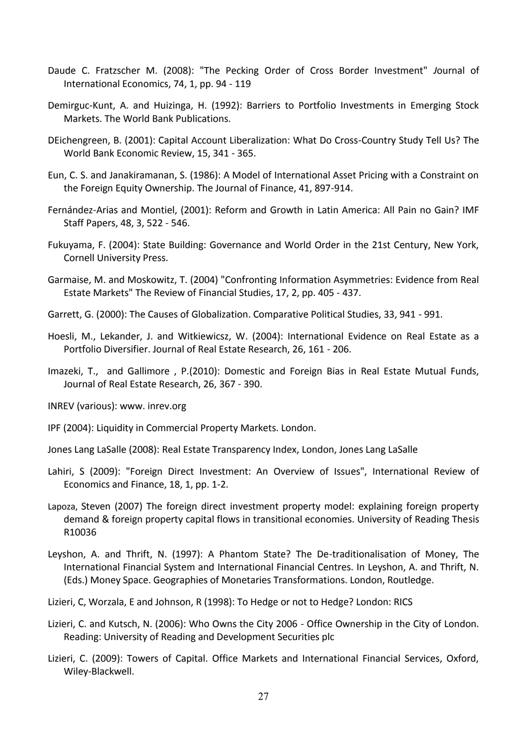- Daude C. Fratzscher M. (2008): "The Pecking Order of Cross Border Investment" *J*ournal of International Economics, 74, 1, pp. 94 - 119
- Demirguc-Kunt, A. and Huizinga, H. (1992): Barriers to Portfolio Investments in Emerging Stock Markets. The World Bank Publications.
- DEichengreen, B. (2001): Capital Account Liberalization: What Do Cross-Country Study Tell Us? The World Bank Economic Review, 15, 341 - 365.
- Eun, C. S. and Janakiramanan, S. (1986): A Model of International Asset Pricing with a Constraint on the Foreign Equity Ownership. The Journal of Finance, 41, 897-914.
- Fernández-Arias and Montiel, (2001): Reform and Growth in Latin America: All Pain no Gain? IMF Staff Papers, 48, 3, 522 - 546.
- Fukuyama, F. (2004): State Building: Governance and World Order in the 21st Century, New York, Cornell University Press.
- Garmaise, M. and Moskowitz, T. (2004) "Confronting Information Asymmetries: Evidence from Real Estate Markets" The Review of Financial Studies, 17, 2, pp. 405 - 437.
- Garrett, G. (2000): The Causes of Globalization. Comparative Political Studies, 33, 941 991.
- Hoesli, M., Lekander, J. and Witkiewicsz, W. (2004): International Evidence on Real Estate as a Portfolio Diversifier. Journal of Real Estate Research, 26, 161 - 206.
- Imazeki, T., and Gallimore , P.(2010): Domestic and Foreign Bias in Real Estate Mutual Funds, Journal of Real Estate Research, 26, 367 - 390.
- INREV (various): www. inrev.org
- IPF (2004): Liquidity in Commercial Property Markets. London.
- Jones Lang LaSalle (2008): Real Estate Transparency Index, London, Jones Lang LaSalle
- Lahiri, S (2009): "Foreign Direct Investment: An Overview of Issues", International Review of Economics and Finance, 18, 1, pp. 1-2.
- Lapoza, Steven (2007) The foreign direct investment property model: explaining foreign property demand & foreign property capital flows in transitional economies. University of Reading Thesis R10036
- Leyshon, A. and Thrift, N. (1997): A Phantom State? The De-traditionalisation of Money, The International Financial System and International Financial Centres. In Leyshon, A. and Thrift, N. (Eds.) Money Space. Geographies of Monetaries Transformations. London, Routledge.
- Lizieri, C, Worzala, E and Johnson, R (1998): To Hedge or not to Hedge? London: RICS
- Lizieri, C. and Kutsch, N. (2006): Who Owns the City 2006 Office Ownership in the City of London. Reading: University of Reading and Development Securities plc
- Lizieri, C. (2009): Towers of Capital. Office Markets and International Financial Services, Oxford, Wiley-Blackwell.